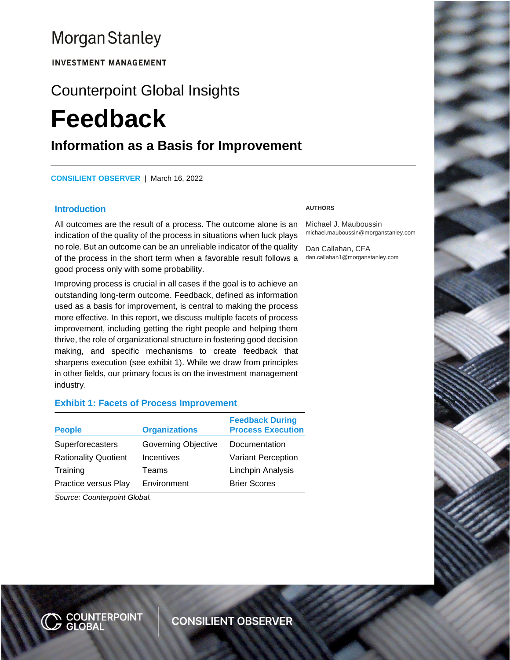## **Morgan Stanley**

**INVESTMENT MANAGEMENT** 

# Counterpoint Global Insights **Feedback**

### **Information as a Basis for Improvement**

**CONSILIENT OBSERVER** | March 16, 2022

#### **Introduction**

All outcomes are the result of a process. The outcome alone is an indication of the quality of the process in situations when luck plays no role. But an outcome can be an unreliable indicator of the quality of the process in the short term when a favorable result follows a good process only with some probability.

Improving process is crucial in all cases if the goal is to achieve an outstanding long-term outcome. Feedback, defined as information used as a basis for improvement, is central to making the process more effective. In this report, we discuss multiple facets of process improvement, including getting the right people and helping them thrive, the role of organizational structure in fostering good decision making, and specific mechanisms to create feedback that sharpens execution (see exhibit 1). While we draw from principles in other fields, our primary focus is on the investment management industry.

#### **Exhibit 1: Facets of Process Improvement**

| <b>People</b>               | <b>Organizations</b> | <b>Feedback During</b><br><b>Process Execution</b> |
|-----------------------------|----------------------|----------------------------------------------------|
| Superforecasters            | Governing Objective  | Documentation                                      |
| <b>Rationality Quotient</b> | Incentives           | Variant Perception                                 |
| Training                    | Teams                | Linchpin Analysis                                  |
| Practice versus Play        | Environment          | <b>Brier Scores</b>                                |

*Source: Counterpoint Global.*

#### **AUTHORS**

Michael J. Mauboussin michael.mauboussin@morganstanley.com

Dan Callahan, CFA dan.callahan1@morganstanley.com

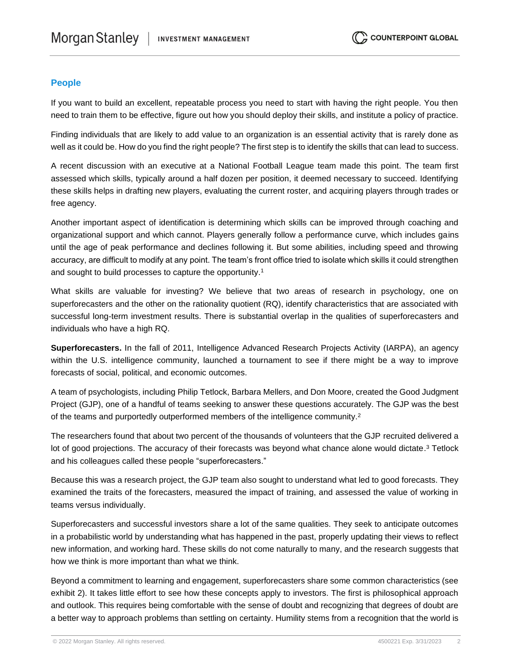#### **People**

If you want to build an excellent, repeatable process you need to start with having the right people. You then need to train them to be effective, figure out how you should deploy their skills, and institute a policy of practice.

Finding individuals that are likely to add value to an organization is an essential activity that is rarely done as well as it could be. How do you find the right people? The first step is to identify the skills that can lead to success.

A recent discussion with an executive at a National Football League team made this point. The team first assessed which skills, typically around a half dozen per position, it deemed necessary to succeed. Identifying these skills helps in drafting new players, evaluating the current roster, and acquiring players through trades or free agency.

Another important aspect of identification is determining which skills can be improved through coaching and organizational support and which cannot. Players generally follow a performance curve, which includes gains until the age of peak performance and declines following it. But some abilities, including speed and throwing accuracy, are difficult to modify at any point. The team's front office tried to isolate which skills it could strengthen and sought to build processes to capture the opportunity.<sup>1</sup>

What skills are valuable for investing? We believe that two areas of research in psychology, one on superforecasters and the other on the rationality quotient (RQ), identify characteristics that are associated with successful long-term investment results. There is substantial overlap in the qualities of superforecasters and individuals who have a high RQ.

**Superforecasters.** In the fall of 2011, Intelligence Advanced Research Projects Activity (IARPA), an agency within the U.S. intelligence community, launched a tournament to see if there might be a way to improve forecasts of social, political, and economic outcomes.

A team of psychologists, including Philip Tetlock, Barbara Mellers, and Don Moore, created the Good Judgment Project (GJP), one of a handful of teams seeking to answer these questions accurately. The GJP was the best of the teams and purportedly outperformed members of the intelligence community.<sup>2</sup>

The researchers found that about two percent of the thousands of volunteers that the GJP recruited delivered a lot of good projections. The accuracy of their forecasts was beyond what chance alone would dictate.<sup>3</sup> Tetlock and his colleagues called these people "superforecasters."

Because this was a research project, the GJP team also sought to understand what led to good forecasts. They examined the traits of the forecasters, measured the impact of training, and assessed the value of working in teams versus individually.

Superforecasters and successful investors share a lot of the same qualities. They seek to anticipate outcomes in a probabilistic world by understanding what has happened in the past, properly updating their views to reflect new information, and working hard. These skills do not come naturally to many, and the research suggests that how we think is more important than what we think.

Beyond a commitment to learning and engagement, superforecasters share some common characteristics (see exhibit 2). It takes little effort to see how these concepts apply to investors. The first is philosophical approach and outlook. This requires being comfortable with the sense of doubt and recognizing that degrees of doubt are a better way to approach problems than settling on certainty. Humility stems from a recognition that the world is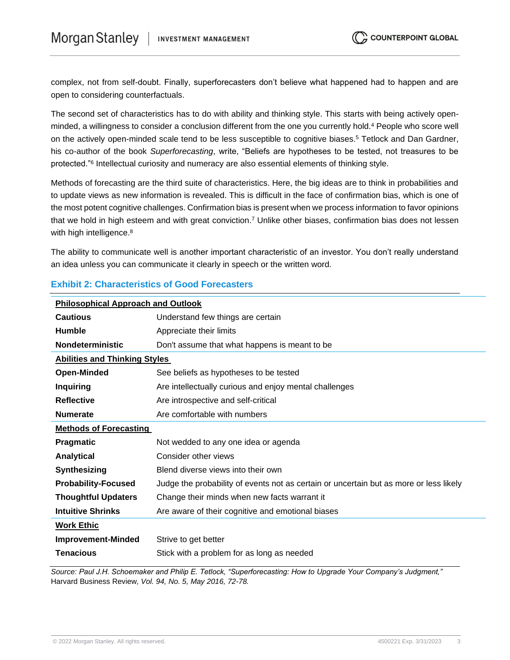complex, not from self-doubt. Finally, superforecasters don't believe what happened had to happen and are open to considering counterfactuals.

The second set of characteristics has to do with ability and thinking style. This starts with being actively openminded, a willingness to consider a conclusion different from the one you currently hold.<sup>4</sup> People who score well on the actively open-minded scale tend to be less susceptible to cognitive biases.<sup>5</sup> Tetlock and Dan Gardner, his co-author of the book *Superforecasting*, write, "Beliefs are hypotheses to be tested, not treasures to be protected."<sup>6</sup> Intellectual curiosity and numeracy are also essential elements of thinking style.

Methods of forecasting are the third suite of characteristics. Here, the big ideas are to think in probabilities and to update views as new information is revealed. This is difficult in the face of confirmation bias, which is one of the most potent cognitive challenges. Confirmation bias is present when we process information to favor opinions that we hold in high esteem and with great conviction.<sup>7</sup> Unlike other biases, confirmation bias does not lessen with high intelligence.<sup>8</sup>

The ability to communicate well is another important characteristic of an investor. You don't really understand an idea unless you can communicate it clearly in speech or the written word.

| <b>Philosophical Approach and Outlook</b> |                                                                                        |  |
|-------------------------------------------|----------------------------------------------------------------------------------------|--|
| <b>Cautious</b>                           | Understand few things are certain                                                      |  |
| <b>Humble</b>                             | Appreciate their limits                                                                |  |
| <b>Nondeterministic</b>                   | Don't assume that what happens is meant to be                                          |  |
| <b>Abilities and Thinking Styles</b>      |                                                                                        |  |
| <b>Open-Minded</b>                        | See beliefs as hypotheses to be tested                                                 |  |
| <b>Inquiring</b>                          | Are intellectually curious and enjoy mental challenges                                 |  |
| <b>Reflective</b>                         | Are introspective and self-critical                                                    |  |
| <b>Numerate</b>                           | Are comfortable with numbers                                                           |  |
| <b>Methods of Forecasting</b>             |                                                                                        |  |
| <b>Pragmatic</b>                          | Not wedded to any one idea or agenda                                                   |  |
| <b>Analytical</b>                         | Consider other views                                                                   |  |
| Synthesizing                              | Blend diverse views into their own                                                     |  |
| <b>Probability-Focused</b>                | Judge the probability of events not as certain or uncertain but as more or less likely |  |
| <b>Thoughtful Updaters</b>                | Change their minds when new facts warrant it                                           |  |
| <b>Intuitive Shrinks</b>                  | Are aware of their cognitive and emotional biases                                      |  |
| <b>Work Ethic</b>                         |                                                                                        |  |
| <b>Improvement-Minded</b>                 | Strive to get better                                                                   |  |
| <b>Tenacious</b>                          | Stick with a problem for as long as needed                                             |  |

#### **Exhibit 2: Characteristics of Good Forecasters**

*Source: Paul J.H. Schoemaker and Philip E. Tetlock, "Superforecasting: How to Upgrade Your Company's Judgment,"*  Harvard Business Review*, Vol. 94, No. 5, May 2016, 72-78.*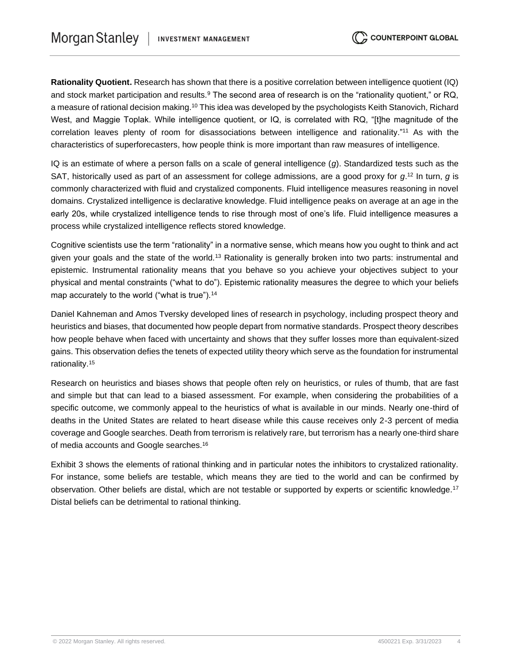**Rationality Quotient.** Research has shown that there is a positive correlation between intelligence quotient (IQ) and stock market participation and results.<sup>9</sup> The second area of research is on the "rationality quotient," or RQ, a measure of rational decision making.<sup>10</sup> This idea was developed by the psychologists Keith Stanovich, Richard West, and Maggie Toplak. While intelligence quotient, or IQ, is correlated with RQ, "[t]he magnitude of the correlation leaves plenty of room for disassociations between intelligence and rationality."<sup>11</sup> As with the characteristics of superforecasters, how people think is more important than raw measures of intelligence.

IQ is an estimate of where a person falls on a scale of general intelligence (*g*). Standardized tests such as the SAT, historically used as part of an assessment for college admissions, are a good proxy for *g*. <sup>12</sup> In turn, *g* is commonly characterized with fluid and crystalized components. Fluid intelligence measures reasoning in novel domains. Crystalized intelligence is declarative knowledge. Fluid intelligence peaks on average at an age in the early 20s, while crystalized intelligence tends to rise through most of one's life. Fluid intelligence measures a process while crystalized intelligence reflects stored knowledge.

Cognitive scientists use the term "rationality" in a normative sense, which means how you ought to think and act given your goals and the state of the world.<sup>13</sup> Rationality is generally broken into two parts: instrumental and epistemic. Instrumental rationality means that you behave so you achieve your objectives subject to your physical and mental constraints ("what to do"). Epistemic rationality measures the degree to which your beliefs map accurately to the world ("what is true").<sup>14</sup>

Daniel Kahneman and Amos Tversky developed lines of research in psychology, including prospect theory and heuristics and biases, that documented how people depart from normative standards. Prospect theory describes how people behave when faced with uncertainty and shows that they suffer losses more than equivalent-sized gains. This observation defies the tenets of expected utility theory which serve as the foundation for instrumental rationality.<sup>15</sup>

Research on heuristics and biases shows that people often rely on heuristics, or rules of thumb, that are fast and simple but that can lead to a biased assessment. For example, when considering the probabilities of a specific outcome, we commonly appeal to the heuristics of what is available in our minds. Nearly one-third of deaths in the United States are related to heart disease while this cause receives only 2-3 percent of media coverage and Google searches. Death from terrorism is relatively rare, but terrorism has a nearly one-third share of media accounts and Google searches.<sup>16</sup>

Exhibit 3 shows the elements of rational thinking and in particular notes the inhibitors to crystalized rationality. For instance, some beliefs are testable, which means they are tied to the world and can be confirmed by observation. Other beliefs are distal, which are not testable or supported by experts or scientific knowledge.<sup>17</sup> Distal beliefs can be detrimental to rational thinking.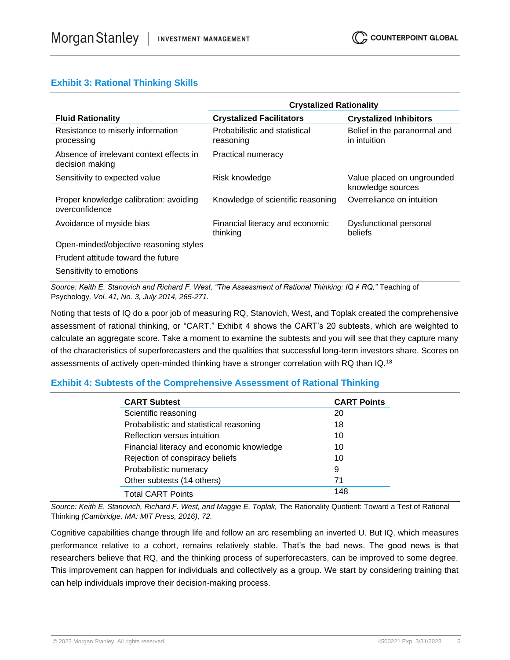#### **Exhibit 3: Rational Thinking Skills**

|                                                             | <b>Crystalized Rationality</b>              |                                                 |
|-------------------------------------------------------------|---------------------------------------------|-------------------------------------------------|
| <b>Fluid Rationality</b>                                    | <b>Crystalized Facilitators</b>             | <b>Crystalized Inhibitors</b>                   |
| Resistance to miserly information<br>processing             | Probabilistic and statistical<br>reasoning  | Belief in the paranormal and<br>in intuition    |
| Absence of irrelevant context effects in<br>decision making | Practical numeracy                          |                                                 |
| Sensitivity to expected value                               | Risk knowledge                              | Value placed on ungrounded<br>knowledge sources |
| Proper knowledge calibration: avoiding<br>overconfidence    | Knowledge of scientific reasoning           | Overreliance on intuition                       |
| Avoidance of myside bias                                    | Financial literacy and economic<br>thinking | Dysfunctional personal<br>beliefs               |
| Open-minded/objective reasoning styles                      |                                             |                                                 |
| Prudent attitude toward the future                          |                                             |                                                 |
| Sensitivity to emotions                                     |                                             |                                                 |

*Source: Keith E. Stanovich and Richard F. West, "The Assessment of Rational Thinking: IQ ≠ RQ,"* Teaching of Psychology*, Vol. 41, No. 3, July 2014, 265-271.*

Noting that tests of IQ do a poor job of measuring RQ, Stanovich, West, and Toplak created the comprehensive assessment of rational thinking, or "CART." Exhibit 4 shows the CART's 20 subtests, which are weighted to calculate an aggregate score. Take a moment to examine the subtests and you will see that they capture many of the characteristics of superforecasters and the qualities that successful long-term investors share. Scores on assessments of actively open-minded thinking have a stronger correlation with RQ than IQ.<sup>18</sup>

#### **Exhibit 4: Subtests of the Comprehensive Assessment of Rational Thinking**

| <b>CART Subtest</b>                       | <b>CART Points</b> |
|-------------------------------------------|--------------------|
| Scientific reasoning                      | 20                 |
| Probabilistic and statistical reasoning   | 18                 |
| Reflection versus intuition               | 10                 |
| Financial literacy and economic knowledge | 10                 |
| Rejection of conspiracy beliefs           | 10                 |
| Probabilistic numeracy                    | 9                  |
| Other subtests (14 others)                | 71                 |
| <b>Total CART Points</b>                  | 148                |

Source: Keith E. Stanovich, Richard F. West, and Maggie E. Toplak, The Rationality Quotient: Toward a Test of Rational Thinking *(Cambridge, MA: MIT Press, 2016), 72.*

Cognitive capabilities change through life and follow an arc resembling an inverted U. But IQ, which measures performance relative to a cohort, remains relatively stable. That's the bad news. The good news is that researchers believe that RQ, and the thinking process of superforecasters, can be improved to some degree. This improvement can happen for individuals and collectively as a group. We start by considering training that can help individuals improve their decision-making process.

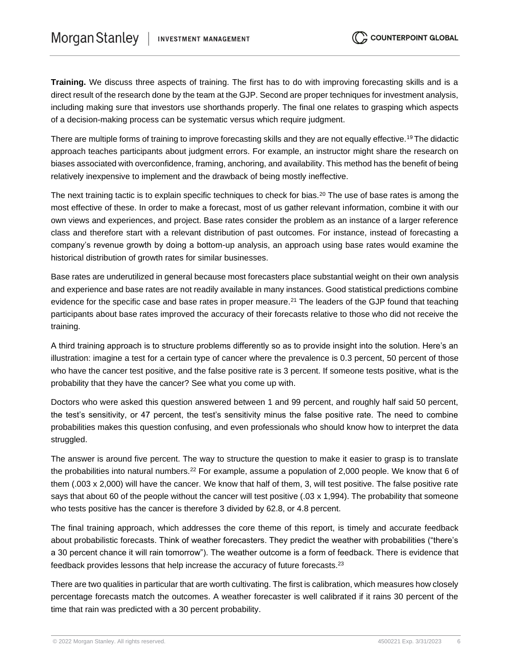**Training.** We discuss three aspects of training. The first has to do with improving forecasting skills and is a direct result of the research done by the team at the GJP. Second are proper techniques for investment analysis, including making sure that investors use shorthands properly. The final one relates to grasping which aspects of a decision-making process can be systematic versus which require judgment.

There are multiple forms of training to improve forecasting skills and they are not equally effective.<sup>19</sup> The didactic approach teaches participants about judgment errors. For example, an instructor might share the research on biases associated with overconfidence, framing, anchoring, and availability. This method has the benefit of being relatively inexpensive to implement and the drawback of being mostly ineffective.

The next training tactic is to explain specific techniques to check for bias.<sup>20</sup> The use of base rates is among the most effective of these. In order to make a forecast, most of us gather relevant information, combine it with our own views and experiences, and project. Base rates consider the problem as an instance of a larger reference class and therefore start with a relevant distribution of past outcomes. For instance, instead of forecasting a company's revenue growth by doing a bottom-up analysis, an approach using base rates would examine the historical distribution of growth rates for similar businesses.

Base rates are underutilized in general because most forecasters place substantial weight on their own analysis and experience and base rates are not readily available in many instances. Good statistical predictions combine evidence for the specific case and base rates in proper measure.<sup>21</sup> The leaders of the GJP found that teaching participants about base rates improved the accuracy of their forecasts relative to those who did not receive the training.

A third training approach is to structure problems differently so as to provide insight into the solution. Here's an illustration: imagine a test for a certain type of cancer where the prevalence is 0.3 percent, 50 percent of those who have the cancer test positive, and the false positive rate is 3 percent. If someone tests positive, what is the probability that they have the cancer? See what you come up with.

Doctors who were asked this question answered between 1 and 99 percent, and roughly half said 50 percent, the test's sensitivity, or 47 percent, the test's sensitivity minus the false positive rate. The need to combine probabilities makes this question confusing, and even professionals who should know how to interpret the data struggled.

The answer is around five percent. The way to structure the question to make it easier to grasp is to translate the probabilities into natural numbers.<sup>22</sup> For example, assume a population of 2,000 people. We know that 6 of them (.003 x 2,000) will have the cancer. We know that half of them, 3, will test positive. The false positive rate says that about 60 of the people without the cancer will test positive (.03 x 1,994). The probability that someone who tests positive has the cancer is therefore 3 divided by 62.8, or 4.8 percent.

The final training approach, which addresses the core theme of this report, is timely and accurate feedback about probabilistic forecasts. Think of weather forecasters. They predict the weather with probabilities ("there's a 30 percent chance it will rain tomorrow"). The weather outcome is a form of feedback. There is evidence that feedback provides lessons that help increase the accuracy of future forecasts.<sup>23</sup>

There are two qualities in particular that are worth cultivating. The first is calibration, which measures how closely percentage forecasts match the outcomes. A weather forecaster is well calibrated if it rains 30 percent of the time that rain was predicted with a 30 percent probability.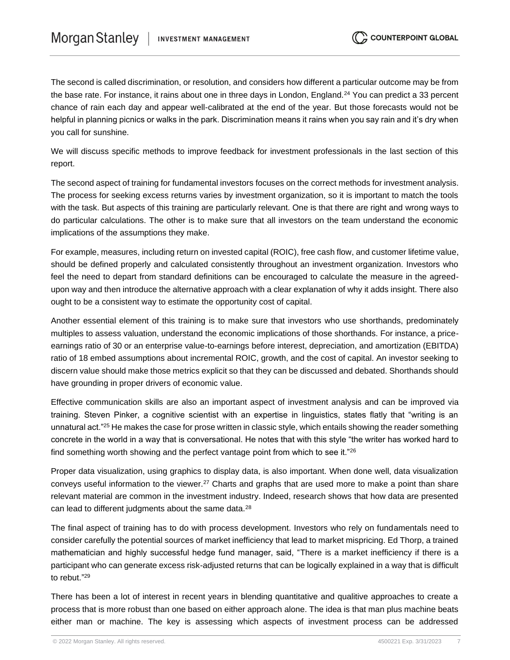The second is called discrimination, or resolution, and considers how different a particular outcome may be from the base rate. For instance, it rains about one in three days in London, England.<sup>24</sup> You can predict a 33 percent chance of rain each day and appear well-calibrated at the end of the year. But those forecasts would not be helpful in planning picnics or walks in the park. Discrimination means it rains when you say rain and it's dry when you call for sunshine.

We will discuss specific methods to improve feedback for investment professionals in the last section of this report.

The second aspect of training for fundamental investors focuses on the correct methods for investment analysis. The process for seeking excess returns varies by investment organization, so it is important to match the tools with the task. But aspects of this training are particularly relevant. One is that there are right and wrong ways to do particular calculations. The other is to make sure that all investors on the team understand the economic implications of the assumptions they make.

For example, measures, including return on invested capital (ROIC), free cash flow, and customer lifetime value, should be defined properly and calculated consistently throughout an investment organization. Investors who feel the need to depart from standard definitions can be encouraged to calculate the measure in the agreedupon way and then introduce the alternative approach with a clear explanation of why it adds insight. There also ought to be a consistent way to estimate the opportunity cost of capital.

Another essential element of this training is to make sure that investors who use shorthands, predominately multiples to assess valuation, understand the economic implications of those shorthands. For instance, a priceearnings ratio of 30 or an enterprise value-to-earnings before interest, depreciation, and amortization (EBITDA) ratio of 18 embed assumptions about incremental ROIC, growth, and the cost of capital. An investor seeking to discern value should make those metrics explicit so that they can be discussed and debated. Shorthands should have grounding in proper drivers of economic value.

Effective communication skills are also an important aspect of investment analysis and can be improved via training. Steven Pinker, a cognitive scientist with an expertise in linguistics, states flatly that "writing is an unnatural act."<sup>25</sup> He makes the case for prose written in classic style, which entails showing the reader something concrete in the world in a way that is conversational. He notes that with this style "the writer has worked hard to find something worth showing and the perfect vantage point from which to see it."<sup>26</sup>

Proper data visualization, using graphics to display data, is also important. When done well, data visualization conveys useful information to the viewer.<sup>27</sup> Charts and graphs that are used more to make a point than share relevant material are common in the investment industry. Indeed, research shows that how data are presented can lead to different judgments about the same data.<sup>28</sup>

The final aspect of training has to do with process development. Investors who rely on fundamentals need to consider carefully the potential sources of market inefficiency that lead to market mispricing. Ed Thorp, a trained mathematician and highly successful hedge fund manager, said, "There is a market inefficiency if there is a participant who can generate excess risk-adjusted returns that can be logically explained in a way that is difficult to rebut." 29

There has been a lot of interest in recent years in blending quantitative and qualitive approaches to create a process that is more robust than one based on either approach alone. The idea is that man plus machine beats either man or machine. The key is assessing which aspects of investment process can be addressed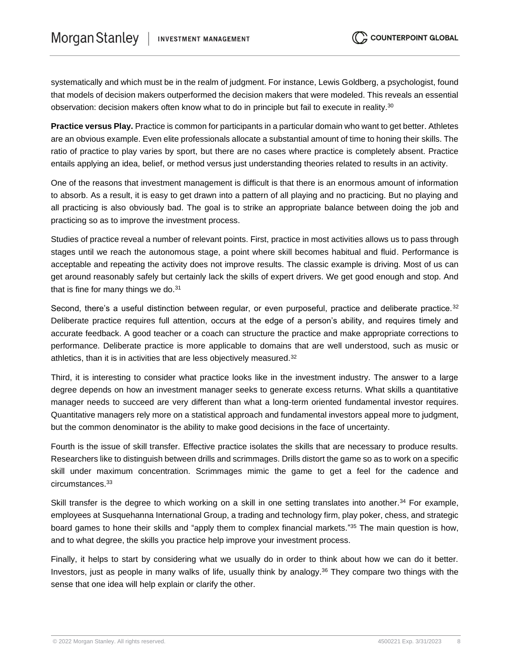systematically and which must be in the realm of judgment. For instance, Lewis Goldberg, a psychologist, found that models of decision makers outperformed the decision makers that were modeled. This reveals an essential observation: decision makers often know what to do in principle but fail to execute in reality.<sup>30</sup>

**Practice versus Play.** Practice is common for participants in a particular domain who want to get better. Athletes are an obvious example. Even elite professionals allocate a substantial amount of time to honing their skills. The ratio of practice to play varies by sport, but there are no cases where practice is completely absent. Practice entails applying an idea, belief, or method versus just understanding theories related to results in an activity.

One of the reasons that investment management is difficult is that there is an enormous amount of information to absorb. As a result, it is easy to get drawn into a pattern of all playing and no practicing. But no playing and all practicing is also obviously bad. The goal is to strike an appropriate balance between doing the job and practicing so as to improve the investment process.

Studies of practice reveal a number of relevant points. First, practice in most activities allows us to pass through stages until we reach the autonomous stage, a point where skill becomes habitual and fluid. Performance is acceptable and repeating the activity does not improve results. The classic example is driving. Most of us can get around reasonably safely but certainly lack the skills of expert drivers. We get good enough and stop. And that is fine for many things we do. $31$ 

Second, there's a useful distinction between regular, or even purposeful, practice and deliberate practice.<sup>32</sup> Deliberate practice requires full attention, occurs at the edge of a person's ability, and requires timely and accurate feedback. A good teacher or a coach can structure the practice and make appropriate corrections to performance. Deliberate practice is more applicable to domains that are well understood, such as music or athletics, than it is in activities that are less objectively measured.<sup>32</sup>

Third, it is interesting to consider what practice looks like in the investment industry. The answer to a large degree depends on how an investment manager seeks to generate excess returns. What skills a quantitative manager needs to succeed are very different than what a long-term oriented fundamental investor requires. Quantitative managers rely more on a statistical approach and fundamental investors appeal more to judgment, but the common denominator is the ability to make good decisions in the face of uncertainty.

Fourth is the issue of skill transfer. Effective practice isolates the skills that are necessary to produce results. Researchers like to distinguish between drills and scrimmages. Drills distort the game so as to work on a specific skill under maximum concentration. Scrimmages mimic the game to get a feel for the cadence and circumstances.<sup>33</sup>

Skill transfer is the degree to which working on a skill in one setting translates into another.<sup>34</sup> For example, employees at Susquehanna International Group, a trading and technology firm, play poker, chess, and strategic board games to hone their skills and "apply them to complex financial markets." <sup>35</sup> The main question is how, and to what degree, the skills you practice help improve your investment process.

Finally, it helps to start by considering what we usually do in order to think about how we can do it better. Investors, just as people in many walks of life, usually think by analogy.<sup>36</sup> They compare two things with the sense that one idea will help explain or clarify the other.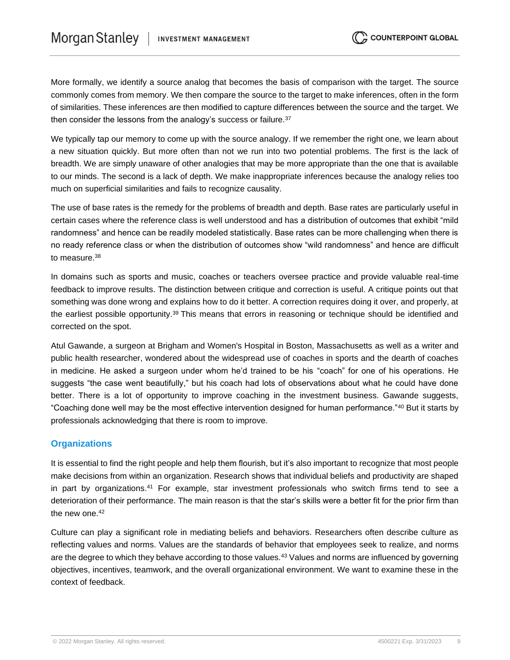More formally, we identify a source analog that becomes the basis of comparison with the target. The source commonly comes from memory. We then compare the source to the target to make inferences, often in the form of similarities. These inferences are then modified to capture differences between the source and the target. We then consider the lessons from the analogy's success or failure.<sup>37</sup>

We typically tap our memory to come up with the source analogy. If we remember the right one, we learn about a new situation quickly. But more often than not we run into two potential problems. The first is the lack of breadth. We are simply unaware of other analogies that may be more appropriate than the one that is available to our minds. The second is a lack of depth. We make inappropriate inferences because the analogy relies too much on superficial similarities and fails to recognize causality.

The use of base rates is the remedy for the problems of breadth and depth. Base rates are particularly useful in certain cases where the reference class is well understood and has a distribution of outcomes that exhibit "mild randomness" and hence can be readily modeled statistically. Base rates can be more challenging when there is no ready reference class or when the distribution of outcomes show "wild randomness" and hence are difficult to measure.<sup>38</sup>

In domains such as sports and music, coaches or teachers oversee practice and provide valuable real-time feedback to improve results. The distinction between critique and correction is useful. A critique points out that something was done wrong and explains how to do it better. A correction requires doing it over, and properly, at the earliest possible opportunity.<sup>39</sup> This means that errors in reasoning or technique should be identified and corrected on the spot.

Atul Gawande, a surgeon at Brigham and Women's Hospital in Boston, Massachusetts as well as a writer and public health researcher, wondered about the widespread use of coaches in sports and the dearth of coaches in medicine. He asked a surgeon under whom he'd trained to be his "coach" for one of his operations. He suggests "the case went beautifully," but his coach had lots of observations about what he could have done better. There is a lot of opportunity to improve coaching in the investment business. Gawande suggests, "Coaching done well may be the most effective intervention designed for human performance."<sup>40</sup> But it starts by professionals acknowledging that there is room to improve.

#### **Organizations**

It is essential to find the right people and help them flourish, but it's also important to recognize that most people make decisions from within an organization. Research shows that individual beliefs and productivity are shaped in part by organizations.<sup>41</sup> For example, star investment professionals who switch firms tend to see a deterioration of their performance. The main reason is that the star's skills were a better fit for the prior firm than the new one.<sup>42</sup>

Culture can play a significant role in mediating beliefs and behaviors. Researchers often describe culture as reflecting values and norms. Values are the standards of behavior that employees seek to realize, and norms are the degree to which they behave according to those values.<sup>43</sup> Values and norms are influenced by governing objectives, incentives, teamwork, and the overall organizational environment. We want to examine these in the context of feedback.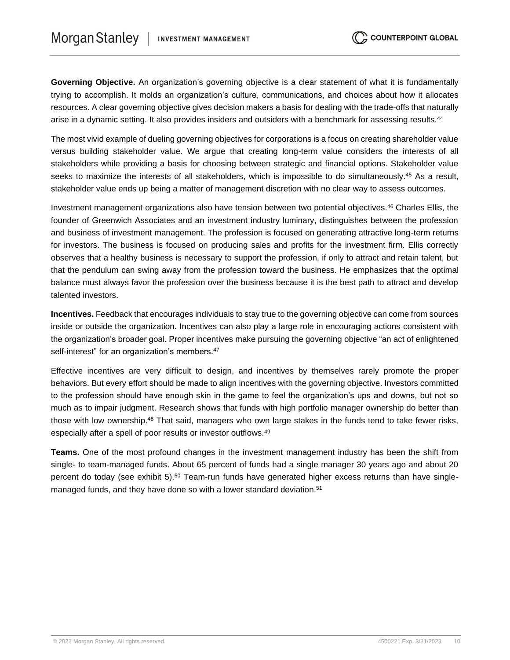**Governing Objective.** An organization's governing objective is a clear statement of what it is fundamentally trying to accomplish. It molds an organization's culture, communications, and choices about how it allocates resources. A clear governing objective gives decision makers a basis for dealing with the trade-offs that naturally arise in a dynamic setting. It also provides insiders and outsiders with a benchmark for assessing results.<sup>44</sup>

The most vivid example of dueling governing objectives for corporations is a focus on creating shareholder value versus building stakeholder value. We argue that creating long-term value considers the interests of all stakeholders while providing a basis for choosing between strategic and financial options. Stakeholder value seeks to maximize the interests of all stakeholders, which is impossible to do simultaneously.<sup>45</sup> As a result, stakeholder value ends up being a matter of management discretion with no clear way to assess outcomes.

Investment management organizations also have tension between two potential objectives.<sup>46</sup> Charles Ellis, the founder of Greenwich Associates and an investment industry luminary, distinguishes between the profession and business of investment management. The profession is focused on generating attractive long-term returns for investors. The business is focused on producing sales and profits for the investment firm. Ellis correctly observes that a healthy business is necessary to support the profession, if only to attract and retain talent, but that the pendulum can swing away from the profession toward the business. He emphasizes that the optimal balance must always favor the profession over the business because it is the best path to attract and develop talented investors.

**Incentives.** Feedback that encourages individuals to stay true to the governing objective can come from sources inside or outside the organization. Incentives can also play a large role in encouraging actions consistent with the organization's broader goal. Proper incentives make pursuing the governing objective "an act of enlightened self-interest" for an organization's members.<sup>47</sup>

Effective incentives are very difficult to design, and incentives by themselves rarely promote the proper behaviors. But every effort should be made to align incentives with the governing objective. Investors committed to the profession should have enough skin in the game to feel the organization's ups and downs, but not so much as to impair judgment. Research shows that funds with high portfolio manager ownership do better than those with low ownership.<sup>48</sup> That said, managers who own large stakes in the funds tend to take fewer risks, especially after a spell of poor results or investor outflows.<sup>49</sup>

**Teams.** One of the most profound changes in the investment management industry has been the shift from single- to team-managed funds. About 65 percent of funds had a single manager 30 years ago and about 20 percent do today (see exhibit 5).<sup>50</sup> Team-run funds have generated higher excess returns than have singlemanaged funds, and they have done so with a lower standard deviation.<sup>51</sup>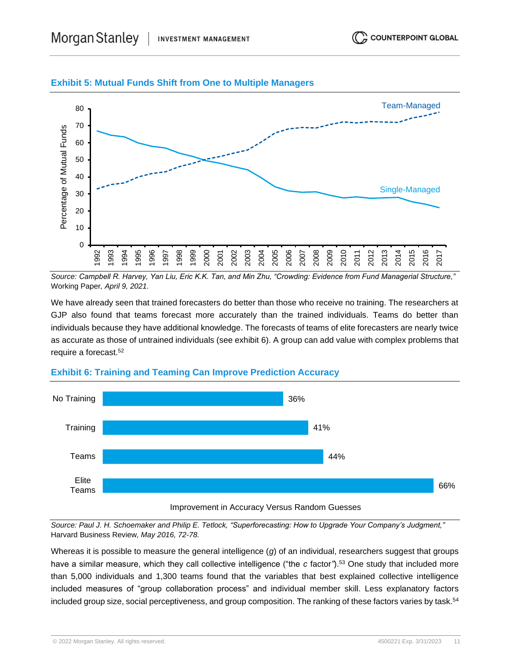

#### **Exhibit 5: Mutual Funds Shift from One to Multiple Managers**



*Source: Campbell R. Harvey, Yan Liu, Eric K.K. Tan, and Min Zhu, "Crowding: Evidence from Fund Managerial Structure,"*  Working Paper*, April 9, 2021.*

We have already seen that trained forecasters do better than those who receive no training. The researchers at GJP also found that teams forecast more accurately than the trained individuals. Teams do better than individuals because they have additional knowledge. The forecasts of teams of elite forecasters are nearly twice as accurate as those of untrained individuals (see exhibit 6). A group can add value with complex problems that require a forecast.<sup>52</sup>



#### **Exhibit 6: Training and Teaming Can Improve Prediction Accuracy**

*Source: Paul J. H. Schoemaker and Philip E. Tetlock, "Superforecasting: How to Upgrade Your Company's Judgment,"* Harvard Business Review*, May 2016, 72-78.*

Whereas it is possible to measure the general intelligence (*g*) of an individual, researchers suggest that groups have a similar measure, which they call collective intelligence ("the *c* factor*"*).<sup>53</sup> One study that included more than 5,000 individuals and 1,300 teams found that the variables that best explained collective intelligence included measures of "group collaboration process" and individual member skill. Less explanatory factors included group size, social perceptiveness, and group composition. The ranking of these factors varies by task.<sup>54</sup>

© 2022 Morgan Stanley. All rights reserved. 4500221 Exp. 3/31/2023 11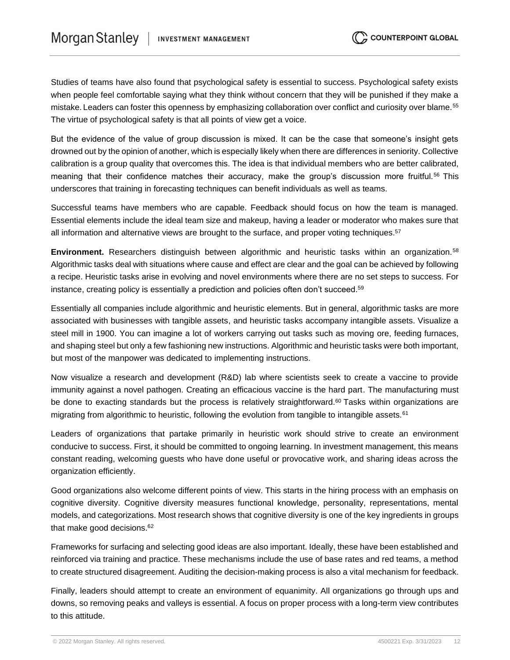Studies of teams have also found that psychological safety is essential to success. Psychological safety exists when people feel comfortable saying what they think without concern that they will be punished if they make a mistake. Leaders can foster this openness by emphasizing collaboration over conflict and curiosity over blame.<sup>55</sup> The virtue of psychological safety is that all points of view get a voice.

But the evidence of the value of group discussion is mixed. It can be the case that someone's insight gets drowned out by the opinion of another, which is especially likely when there are differences in seniority. Collective calibration is a group quality that overcomes this. The idea is that individual members who are better calibrated, meaning that their confidence matches their accuracy, make the group's discussion more fruitful.<sup>56</sup> This underscores that training in forecasting techniques can benefit individuals as well as teams.

Successful teams have members who are capable. Feedback should focus on how the team is managed. Essential elements include the ideal team size and makeup, having a leader or moderator who makes sure that all information and alternative views are brought to the surface, and proper voting techniques.<sup>57</sup>

**Environment.** Researchers distinguish between algorithmic and heuristic tasks within an organization.<sup>58</sup> Algorithmic tasks deal with situations where cause and effect are clear and the goal can be achieved by following a recipe. Heuristic tasks arise in evolving and novel environments where there are no set steps to success. For instance, creating policy is essentially a prediction and policies often don't succeed.<sup>59</sup>

Essentially all companies include algorithmic and heuristic elements. But in general, algorithmic tasks are more associated with businesses with tangible assets, and heuristic tasks accompany intangible assets. Visualize a steel mill in 1900. You can imagine a lot of workers carrying out tasks such as moving ore, feeding furnaces, and shaping steel but only a few fashioning new instructions. Algorithmic and heuristic tasks were both important, but most of the manpower was dedicated to implementing instructions.

Now visualize a research and development (R&D) lab where scientists seek to create a vaccine to provide immunity against a novel pathogen. Creating an efficacious vaccine is the hard part. The manufacturing must be done to exacting standards but the process is relatively straightforward.<sup>60</sup> Tasks within organizations are migrating from algorithmic to heuristic, following the evolution from tangible to intangible assets.<sup>61</sup>

Leaders of organizations that partake primarily in heuristic work should strive to create an environment conducive to success. First, it should be committed to ongoing learning. In investment management, this means constant reading, welcoming guests who have done useful or provocative work, and sharing ideas across the organization efficiently.

Good organizations also welcome different points of view. This starts in the hiring process with an emphasis on cognitive diversity. Cognitive diversity measures functional knowledge, personality, representations, mental models, and categorizations. Most research shows that cognitive diversity is one of the key ingredients in groups that make good decisions.<sup>62</sup>

Frameworks for surfacing and selecting good ideas are also important. Ideally, these have been established and reinforced via training and practice. These mechanisms include the use of base rates and red teams, a method to create structured disagreement. Auditing the decision-making process is also a vital mechanism for feedback.

Finally, leaders should attempt to create an environment of equanimity. All organizations go through ups and downs, so removing peaks and valleys is essential. A focus on proper process with a long-term view contributes to this attitude.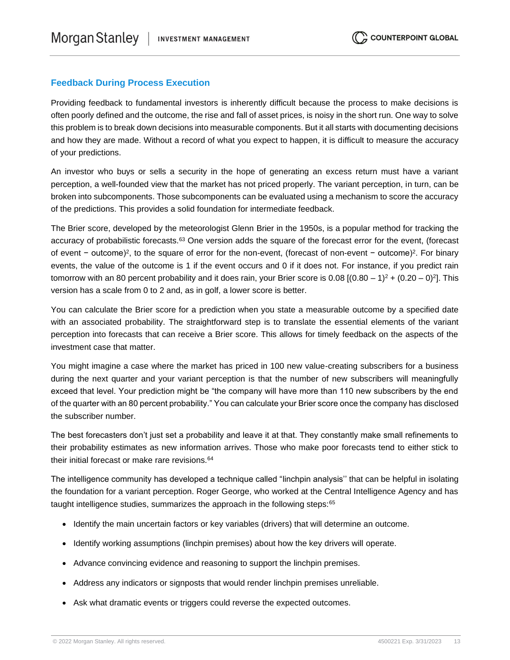#### **Feedback During Process Execution**

Providing feedback to fundamental investors is inherently difficult because the process to make decisions is often poorly defined and the outcome, the rise and fall of asset prices, is noisy in the short run. One way to solve this problem is to break down decisions into measurable components. But it all starts with documenting decisions and how they are made. Without a record of what you expect to happen, it is difficult to measure the accuracy of your predictions.

An investor who buys or sells a security in the hope of generating an excess return must have a variant perception, a well-founded view that the market has not priced properly. The variant perception, in turn, can be broken into subcomponents. Those subcomponents can be evaluated using a mechanism to score the accuracy of the predictions. This provides a solid foundation for intermediate feedback.

The Brier score, developed by the meteorologist Glenn Brier in the 1950s, is a popular method for tracking the accuracy of probabilistic forecasts.<sup>63</sup> One version adds the square of the forecast error for the event, (forecast of event – outcome)<sup>2</sup>, to the square of error for the non-event, (forecast of non-event – outcome)<sup>2</sup>. For binary events, the value of the outcome is 1 if the event occurs and 0 if it does not. For instance, if you predict rain tomorrow with an 80 percent probability and it does rain, your Brier score is 0.08  $[(0.80 - 1)^2 + (0.20 - 0)^2]$ . This version has a scale from 0 to 2 and, as in golf, a lower score is better.

You can calculate the Brier score for a prediction when you state a measurable outcome by a specified date with an associated probability. The straightforward step is to translate the essential elements of the variant perception into forecasts that can receive a Brier score. This allows for timely feedback on the aspects of the investment case that matter.

You might imagine a case where the market has priced in 100 new value-creating subscribers for a business during the next quarter and your variant perception is that the number of new subscribers will meaningfully exceed that level. Your prediction might be "the company will have more than 110 new subscribers by the end of the quarter with an 80 percent probability." You can calculate your Brier score once the company has disclosed the subscriber number.

The best forecasters don't just set a probability and leave it at that. They constantly make small refinements to their probability estimates as new information arrives. Those who make poor forecasts tend to either stick to their initial forecast or make rare revisions.<sup>64</sup>

The intelligence community has developed a technique called "linchpin analysis'' that can be helpful in isolating the foundation for a variant perception. Roger George, who worked at the Central Intelligence Agency and has taught intelligence studies, summarizes the approach in the following steps:<sup>65</sup>

- Identify the main uncertain factors or key variables (drivers) that will determine an outcome.
- Identify working assumptions (linchpin premises) about how the key drivers will operate.
- Advance convincing evidence and reasoning to support the linchpin premises.
- Address any indicators or signposts that would render linchpin premises unreliable.
- Ask what dramatic events or triggers could reverse the expected outcomes.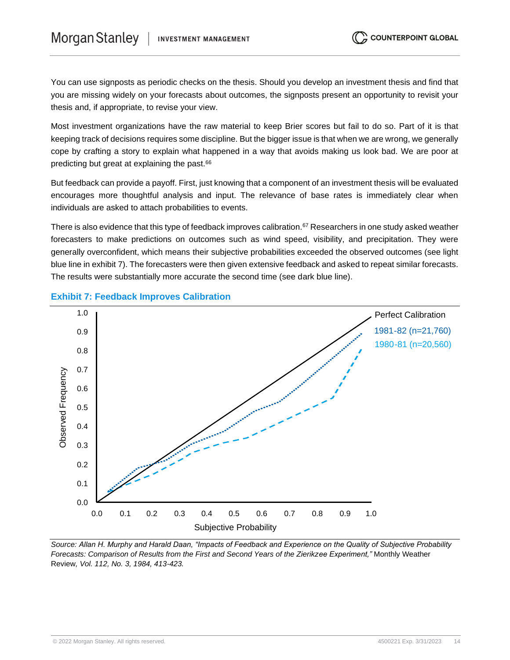You can use signposts as periodic checks on the thesis. Should you develop an investment thesis and find that you are missing widely on your forecasts about outcomes, the signposts present an opportunity to revisit your thesis and, if appropriate, to revise your view.

Most investment organizations have the raw material to keep Brier scores but fail to do so. Part of it is that keeping track of decisions requires some discipline. But the bigger issue is that when we are wrong, we generally cope by crafting a story to explain what happened in a way that avoids making us look bad. We are poor at predicting but great at explaining the past.<sup>66</sup>

But feedback can provide a payoff. First, just knowing that a component of an investment thesis will be evaluated encourages more thoughtful analysis and input. The relevance of base rates is immediately clear when individuals are asked to attach probabilities to events.

There is also evidence that this type of feedback improves calibration.<sup>67</sup> Researchers in one study asked weather forecasters to make predictions on outcomes such as wind speed, visibility, and precipitation. They were generally overconfident, which means their subjective probabilities exceeded the observed outcomes (see light blue line in exhibit 7). The forecasters were then given extensive feedback and asked to repeat similar forecasts. The results were substantially more accurate the second time (see dark blue line).



#### **Exhibit 7: Feedback Improves Calibration**

*Source: Allan H. Murphy and Harald Daan, "Impacts of Feedback and Experience on the Quality of Subjective Probability Forecasts: Comparison of Results from the First and Second Years of the Zierikzee Experiment,"* Monthly Weather Review*, Vol. 112, No. 3, 1984, 413-423.*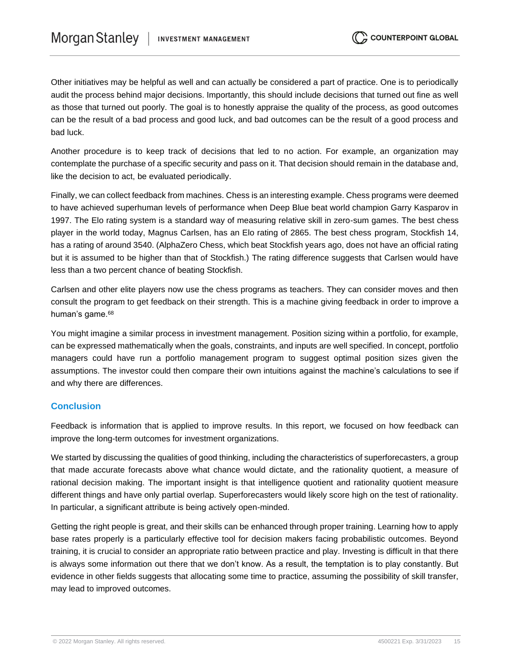Other initiatives may be helpful as well and can actually be considered a part of practice. One is to periodically audit the process behind major decisions. Importantly, this should include decisions that turned out fine as well as those that turned out poorly. The goal is to honestly appraise the quality of the process, as good outcomes can be the result of a bad process and good luck, and bad outcomes can be the result of a good process and bad luck.

Another procedure is to keep track of decisions that led to no action. For example, an organization may contemplate the purchase of a specific security and pass on it. That decision should remain in the database and, like the decision to act, be evaluated periodically.

Finally, we can collect feedback from machines. Chess is an interesting example. Chess programs were deemed to have achieved superhuman levels of performance when Deep Blue beat world champion Garry Kasparov in 1997. The Elo rating system is a standard way of measuring relative skill in zero-sum games. The best chess player in the world today, Magnus Carlsen, has an Elo rating of 2865. The best chess program, Stockfish 14, has a rating of around 3540. (AlphaZero Chess, which beat Stockfish years ago, does not have an official rating but it is assumed to be higher than that of Stockfish.) The rating difference suggests that Carlsen would have less than a two percent chance of beating Stockfish.

Carlsen and other elite players now use the chess programs as teachers. They can consider moves and then consult the program to get feedback on their strength. This is a machine giving feedback in order to improve a human's game.<sup>68</sup>

You might imagine a similar process in investment management. Position sizing within a portfolio, for example, can be expressed mathematically when the goals, constraints, and inputs are well specified. In concept, portfolio managers could have run a portfolio management program to suggest optimal position sizes given the assumptions. The investor could then compare their own intuitions against the machine's calculations to see if and why there are differences.

#### **Conclusion**

Feedback is information that is applied to improve results. In this report, we focused on how feedback can improve the long-term outcomes for investment organizations.

We started by discussing the qualities of good thinking, including the characteristics of superforecasters, a group that made accurate forecasts above what chance would dictate, and the rationality quotient, a measure of rational decision making. The important insight is that intelligence quotient and rationality quotient measure different things and have only partial overlap. Superforecasters would likely score high on the test of rationality. In particular, a significant attribute is being actively open-minded.

Getting the right people is great, and their skills can be enhanced through proper training. Learning how to apply base rates properly is a particularly effective tool for decision makers facing probabilistic outcomes. Beyond training, it is crucial to consider an appropriate ratio between practice and play. Investing is difficult in that there is always some information out there that we don't know. As a result, the temptation is to play constantly. But evidence in other fields suggests that allocating some time to practice, assuming the possibility of skill transfer, may lead to improved outcomes.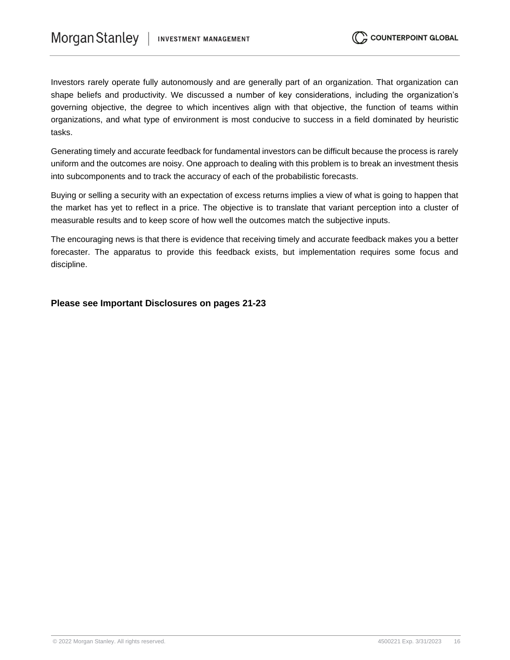Investors rarely operate fully autonomously and are generally part of an organization. That organization can shape beliefs and productivity. We discussed a number of key considerations, including the organization's governing objective, the degree to which incentives align with that objective, the function of teams within organizations, and what type of environment is most conducive to success in a field dominated by heuristic tasks.

Generating timely and accurate feedback for fundamental investors can be difficult because the process is rarely uniform and the outcomes are noisy. One approach to dealing with this problem is to break an investment thesis into subcomponents and to track the accuracy of each of the probabilistic forecasts.

Buying or selling a security with an expectation of excess returns implies a view of what is going to happen that the market has yet to reflect in a price. The objective is to translate that variant perception into a cluster of measurable results and to keep score of how well the outcomes match the subjective inputs.

The encouraging news is that there is evidence that receiving timely and accurate feedback makes you a better forecaster. The apparatus to provide this feedback exists, but implementation requires some focus and discipline.

**Please see Important Disclosures on pages 21-23**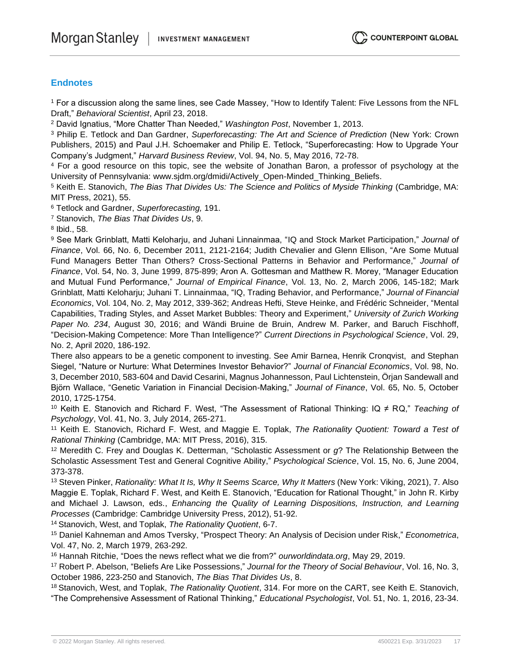#### **Endnotes**

<sup>1</sup> For a discussion along the same lines, see Cade Massey, "How to Identify Talent: Five Lessons from the NFL Draft," *Behavioral Scientist*, April 23, 2018.

<sup>2</sup> David Ignatius, "More Chatter Than Needed," *Washington Post*, November 1, 2013.

<sup>3</sup> Philip E. Tetlock and Dan Gardner, *Superforecasting: The Art and Science of Prediction* (New York: Crown Publishers, 2015) and Paul J.H. Schoemaker and Philip E. Tetlock, "Superforecasting: How to Upgrade Your Company's Judgment," *Harvard Business Review*, Vol. 94, No. 5, May 2016, 72-78.

<sup>4</sup> For a good resource on this topic, see the website of Jonathan Baron, a professor of psychology at the University of Pennsylvania: www.sjdm.org/dmidi/Actively\_Open-Minded\_Thinking\_Beliefs.

<sup>5</sup> Keith E. Stanovich, *The Bias That Divides Us: The Science and Politics of Myside Thinking* (Cambridge, MA: MIT Press, 2021), 55.

<sup>6</sup> Tetlock and Gardner, *Superforecasting,* 191.

<sup>7</sup> Stanovich, *The Bias That Divides Us*, 9.

8 Ibid., 58.

<sup>9</sup> See Mark Grinblatt, Matti Keloharju, and Juhani Linnainmaa, "IQ and Stock Market Participation," *Journal of Finance*, Vol. 66, No. 6, December 2011, 2121-2164; Judith Chevalier and Glenn Ellison, "Are Some Mutual Fund Managers Better Than Others? Cross-Sectional Patterns in Behavior and Performance," *Journal of Finance*, Vol. 54, No. 3, June 1999, 875-899; Aron A. Gottesman and Matthew R. Morey, "Manager Education and Mutual Fund Performance," *Journal of Empirical Finance*, Vol. 13, No. 2, March 2006, 145-182; Mark Grinblatt, Matti Keloharju; Juhani T. Linnainmaa, "IQ, Trading Behavior, and Performance," *Journal of Financial Economics*, Vol. 104, No. 2, May 2012, 339-362; Andreas Hefti, Steve Heinke, and Frédéric Schneider, "Mental Capabilities, Trading Styles, and Asset Market Bubbles: Theory and Experiment," *University of Zurich Working Paper No. 234*, August 30, 2016; and Wändi Bruine de Bruin, Andrew M. Parker, and Baruch Fischhoff, "Decision-Making Competence: More Than Intelligence?" *Current Directions in Psychological Science*, Vol. 29, No. 2, April 2020, 186-192.

There also appears to be a genetic component to investing. See Amir Barnea, Henrik Cronqvist, and Stephan Siegel, "Nature or Nurture: What Determines Investor Behavior?" *Journal of Financial Economics*, Vol. 98, No. 3, December 2010, 583-604 and David Cesarini, Magnus Johannesson, Paul Lichtenstein, Örjan Sandewall and Björn Wallace, "Genetic Variation in Financial Decision-Making," *Journal of Finance*, Vol. 65, No. 5, October 2010, 1725-1754.

<sup>10</sup> Keith E. Stanovich and Richard F. West, "The Assessment of Rational Thinking: IQ ≠ RQ," *Teaching of Psychology*, Vol. 41, No. 3, July 2014, 265-271.

<sup>11</sup> Keith E. Stanovich, Richard F. West, and Maggie E. Toplak, *The Rationality Quotient: Toward a Test of Rational Thinking* (Cambridge, MA: MIT Press, 2016), 315.

<sup>12</sup> Meredith C. Frey and Douglas K. Detterman, "Scholastic Assessment or *g*? The Relationship Between the Scholastic Assessment Test and General Cognitive Ability," *Psychological Science*, Vol. 15, No. 6, June 2004, 373-378.

<sup>13</sup> Steven Pinker, *Rationality: What It Is, Why It Seems Scarce, Why It Matters* (New York: Viking, 2021), 7. Also Maggie E. Toplak, Richard F. West, and Keith E. Stanovich, "Education for Rational Thought," in John R. Kirby and Michael J. Lawson, eds., *Enhancing the Quality of Learning Dispositions, Instruction, and Learning Processes* (Cambridge: Cambridge University Press, 2012), 51-92.

<sup>14</sup> Stanovich, West, and Toplak, *The Rationality Quotient*, 6-7.

<sup>15</sup> Daniel Kahneman and Amos Tversky, "Prospect Theory: An Analysis of Decision under Risk," *Econometrica*, Vol. 47, No. 2, March 1979, 263-292.

<sup>16</sup> Hannah Ritchie, "Does the news reflect what we die from?" *ourworldindata.org*, May 29, 2019.

<sup>17</sup> Robert P. Abelson, "Beliefs Are Like Possessions," *Journal for the Theory of Social Behaviour*, Vol. 16, No. 3, October 1986, 223-250 and Stanovich, *The Bias That Divides Us*, 8.

<sup>18</sup> Stanovich, West, and Toplak, *The Rationality Quotient*, 314. For more on the CART, see Keith E. Stanovich, "The Comprehensive Assessment of Rational Thinking," *Educational Psychologist*, Vol. 51, No. 1, 2016, 23-34.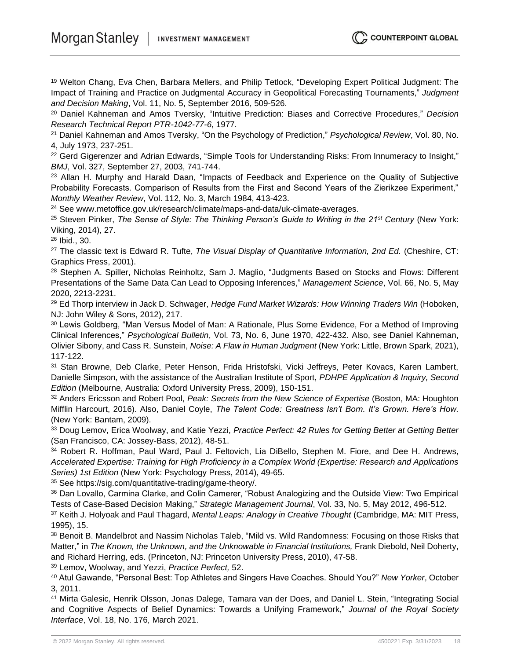<sup>19</sup> Welton Chang, Eva Chen, Barbara Mellers, and Philip Tetlock, "Developing Expert Political Judgment: The Impact of Training and Practice on Judgmental Accuracy in Geopolitical Forecasting Tournaments," *Judgment and Decision Making*, Vol. 11, No. 5, September 2016, 509-526.

<sup>20</sup> Daniel Kahneman and Amos Tversky, "Intuitive Prediction: Biases and Corrective Procedures," *Decision Research Technical Report PTR-1042-77-6*, 1977.

<sup>21</sup> Daniel Kahneman and Amos Tversky, "On the Psychology of Prediction," *Psychological Review*, Vol. 80, No. 4, July 1973, 237-251.

<sup>22</sup> Gerd Gigerenzer and Adrian Edwards, "Simple Tools for Understanding Risks: From Innumeracy to Insight," *BMJ*, Vol. 327, September 27, 2003, 741-744.

<sup>23</sup> Allan H. Murphy and Harald Daan, "Impacts of Feedback and Experience on the Quality of Subjective Probability Forecasts. Comparison of Results from the First and Second Years of the Zierikzee Experiment," *Monthly Weather Review*, Vol. 112, No. 3, March 1984, 413-423.

<sup>24</sup> See www.metoffice.gov.uk/research/climate/maps-and-data/uk-climate-averages.

<sup>25</sup> Steven Pinker, *The Sense of Style: The Thinking Person's Guide to Writing in the 21st Century* (New York: Viking, 2014), 27.

26 Ibid., 30.

<sup>27</sup> The classic text is Edward R. Tufte, *The Visual Display of Quantitative Information, 2nd Ed.* (Cheshire, CT: Graphics Press, 2001).

<sup>28</sup> Stephen A. Spiller, Nicholas Reinholtz, Sam J. Maglio, "Judgments Based on Stocks and Flows: Different Presentations of the Same Data Can Lead to Opposing Inferences," *Management Science*, Vol. 66, No. 5, May 2020, 2213-2231.

<sup>29</sup> Ed Thorp interview in Jack D. Schwager, *Hedge Fund Market Wizards: How Winning Traders Win* (Hoboken, NJ: John Wiley & Sons, 2012), 217.

<sup>30</sup> Lewis Goldberg, "Man Versus Model of Man: A Rationale, Plus Some Evidence, For a Method of Improving Clinical Inferences," *Psychological Bulletin*, Vol. 73, No. 6, June 1970, 422-432. Also, see Daniel Kahneman, Olivier Sibony, and Cass R. Sunstein, *Noise: A Flaw in Human Judgment* (New York: Little, Brown Spark, 2021), 117-122.

31 Stan Browne, Deb Clarke, Peter Henson, Frida Hristofski, Vicki Jeffreys, Peter Kovacs, Karen Lambert, Danielle Simpson, with the assistance of the Australian Institute of Sport, *PDHPE Application & Inquiry, Second Edition* (Melbourne, Australia: Oxford University Press, 2009), 150-151.

<sup>32</sup> Anders Ericsson and Robert Pool, *Peak: Secrets from the New Science of Expertise* (Boston, MA: Houghton Mifflin Harcourt, 2016). Also, Daniel Coyle, *The Talent Code: Greatness Isn't Born. It's Grown. Here's How.* (New York: Bantam, 2009).

<sup>33</sup> Doug Lemov, Erica Woolway, and Katie Yezzi, *Practice Perfect: 42 Rules for Getting Better at Getting Better*  (San Francisco, CA: Jossey-Bass, 2012), 48-51.

<sup>34</sup> Robert R. Hoffman, Paul Ward, Paul J. Feltovich, Lia DiBello, Stephen M. Fiore, and Dee H. Andrews, *Accelerated Expertise: Training for High Proficiency in a Complex World (Expertise: Research and Applications Series) 1st Edition* (New York: Psychology Press, 2014), 49-65.

<sup>35</sup> See https://sig.com/quantitative-trading/game-theory/.

<sup>36</sup> Dan Lovallo, Carmina Clarke, and Colin Camerer, "Robust Analogizing and the Outside View: Two Empirical Tests of Case-Based Decision Making," *Strategic Management Journal*, Vol. 33, No. 5, May 2012, 496-512.

<sup>37</sup> Keith J. Holyoak and Paul Thagard, *Mental Leaps: Analogy in Creative Thought* (Cambridge, MA: MIT Press, 1995), 15.

38 Benoit B. Mandelbrot and Nassim Nicholas Taleb, "Mild vs. Wild Randomness: Focusing on those Risks that Matter," in *The Known, the Unknown, and the Unknowable in Financial Institutions,* Frank Diebold, Neil Doherty, and Richard Herring, eds. (Princeton, NJ: Princeton University Press, 2010), 47-58.

<sup>39</sup> Lemov, Woolway, and Yezzi, *Practice Perfect,* 52.

<sup>40</sup> Atul Gawande, "Personal Best: Top Athletes and Singers Have Coaches. Should You?" *New Yorker*, October 3, 2011.

<sup>41</sup> Mirta Galesic, Henrik Olsson, Jonas Dalege, Tamara van der Does, and Daniel L. Stein, "Integrating Social and Cognitive Aspects of Belief Dynamics: Towards a Unifying Framework," *Journal of the Royal Society Interface*, Vol. 18, No. 176, March 2021.

(C) COUNTERPOINT GLOBAL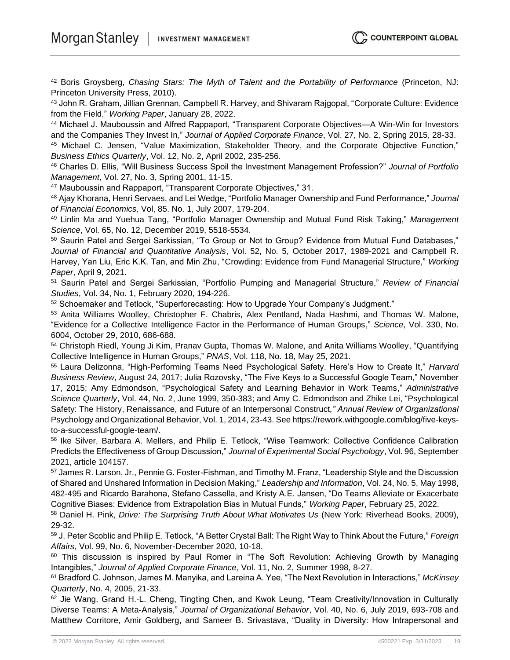<sup>42</sup> Boris Groysberg, *Chasing Stars: The Myth of Talent and the Portability of Performance* (Princeton, NJ: Princeton University Press, 2010).

<sup>43</sup> John R. Graham, Jillian Grennan, Campbell R. Harvey, and Shivaram Rajgopal, "Corporate Culture: Evidence from the Field," *Working Paper*, January 28, 2022.

<sup>44</sup> Michael J. Mauboussin and Alfred Rappaport, "Transparent Corporate Objectives—A Win-Win for Investors and the Companies They Invest In," *Journal of Applied Corporate Finance*, Vol. 27, No. 2, Spring 2015, 28-33.

<sup>45</sup> Michael C. Jensen, "Value Maximization, Stakeholder Theory, and the Corporate Objective Function," *Business Ethics Quarterly*, Vol. 12, No. 2, April 2002, 235-256.

<sup>46</sup> Charles D. Ellis, "Will Business Success Spoil the Investment Management Profession?" *Journal of Portfolio Management*, Vol. 27, No. 3, Spring 2001, 11-15.

<sup>47</sup> Mauboussin and Rappaport, "Transparent Corporate Objectives," 31.

<sup>48</sup> Ajay Khorana, Henri Servaes, and Lei Wedge, "Portfolio Manager Ownership and Fund Performance," *Journal of Financial Economics,* Vol, 85. No. 1, July 2007, 179-204.

<sup>49</sup> Linlin Ma and Yuehua Tang, "Portfolio Manager Ownership and Mutual Fund Risk Taking," *Management Science*, Vol. 65, No. 12, December 2019, 5518-5534.

50 Saurin Patel and Sergei Sarkissian, "To Group or Not to Group? Evidence from Mutual Fund Databases," *Journal of Financial and Quantitative Analysis*, Vol. 52, No. 5, October 2017, 1989-2021 and Campbell R. Harvey, Yan Liu, Eric K.K. Tan, and Min Zhu, "Crowding: Evidence from Fund Managerial Structure," *Working Paper*, April 9, 2021.

<sup>51</sup> Saurin Patel and Sergei Sarkissian, "Portfolio Pumping and Managerial Structure," *Review of Financial Studies*, Vol. 34, No. 1, February 2020, 194-226.

52 Schoemaker and Tetlock, "Superforecasting: How to Upgrade Your Company's Judgment."

<sup>53</sup> Anita Williams Woolley, Christopher F. Chabris, Alex Pentland, Nada Hashmi, and Thomas W. Malone, "Evidence for a Collective Intelligence Factor in the Performance of Human Groups," *Science*, Vol. 330, No. 6004, October 29, 2010, 686-688.

54 Christoph Riedl, Young Ji Kim, Pranav Gupta, Thomas W. Malone, and Anita Williams Woolley, "Quantifying Collective Intelligence in Human Groups," *PNAS*, Vol. 118, No. 18, May 25, 2021.

<sup>55</sup> Laura Delizonna, "High-Performing Teams Need Psychological Safety. Here's How to Create It," *Harvard Business Review*, August 24, 2017; Julia Rozovsky, "The Five Keys to a Successful Google Team," November 17, 2015; Amy Edmondson, "Psychological Safety and Learning Behavior in Work Teams," *Administrative Science Quarterly*, Vol. 44, No. 2, June 1999, 350-383; and Amy C. Edmondson and Zhike Lei, "Psychological Safety: The History, Renaissance, and Future of an Interpersonal Construct*," Annual Review of Organizational*  Psychology and Organizational Behavior, Vol. 1, 2014, 23-43. See https://rework.withgoogle.com/blog/five-keysto-a-successful-google-team/.

56 Ike Silver, Barbara A. Mellers, and Philip E. Tetlock, "Wise Teamwork: Collective Confidence Calibration Predicts the Effectiveness of Group Discussion," *Journal of Experimental Social Psychology*, Vol. 96, September 2021, article 104157.

<sup>57</sup> James R. Larson, Jr., Pennie G. Foster-Fishman, and Timothy M. Franz, "Leadership Style and the Discussion of Shared and Unshared Information in Decision Making," *Leadership and Information*, Vol. 24, No. 5, May 1998, 482-495 and Ricardo Barahona, Stefano Cassella, and Kristy A.E. Jansen, "Do Teams Alleviate or Exacerbate Cognitive Biases: Evidence from Extrapolation Bias in Mutual Funds," *Working Paper*, February 25, 2022.

<sup>58</sup> Daniel H. Pink, *Drive: The Surprising Truth About What Motivates Us* (New York: Riverhead Books, 2009), 29-32.

<sup>59</sup> J. Peter Scoblic and Philip E. Tetlock, "A Better Crystal Ball: The Right Way to Think About the Future," *Foreign Affairs*, Vol. 99, No. 6, November-December 2020, 10-18.

<sup>60</sup> This discussion is inspired by Paul Romer in "The Soft Revolution: Achieving Growth by Managing Intangibles," *Journal of Applied Corporate Finance*, Vol. 11, No. 2, Summer 1998, 8-27.

<sup>61</sup> Bradford C. Johnson, James M. Manyika, and Lareina A. Yee, "The Next Revolution in Interactions," *McKinsey Quarterly*, No. 4, 2005, 21-33.

62 Jie Wang, Grand H.-L. Cheng, Tingting Chen, and Kwok Leung, "Team Creativity/Innovation in Culturally Diverse Teams: A Meta‐Analysis," *Journal of Organizational Behavior*, Vol. 40, No. 6, July 2019, 693-708 and Matthew Corritore, Amir Goldberg, and Sameer B. Srivastava, "Duality in Diversity: How Intrapersonal and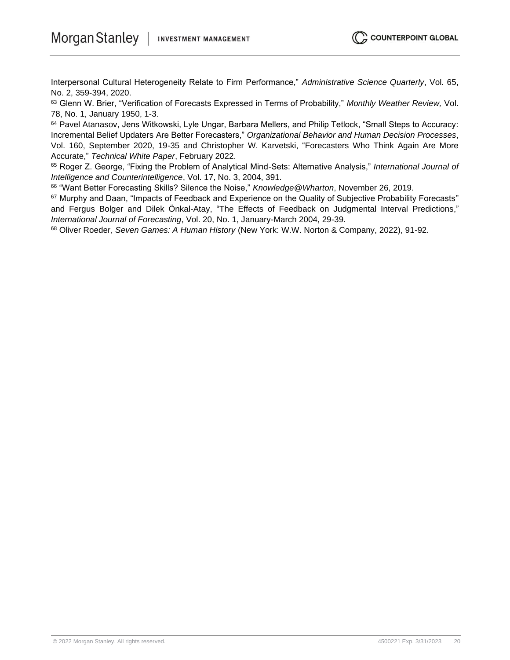Interpersonal Cultural Heterogeneity Relate to Firm Performance," *Administrative Science Quarterly*, Vol. 65, No. 2, 359-394, 2020.

<sup>63</sup> Glenn W. Brier, "Verification of Forecasts Expressed in Terms of Probability," *Monthly Weather Review,* Vol. 78, No. 1, January 1950, 1-3.

<sup>64</sup> Pavel Atanasov, Jens Witkowski, Lyle Ungar, Barbara Mellers, and Philip Tetlock, "Small Steps to Accuracy: Incremental Belief Updaters Are Better Forecasters," *Organizational Behavior and Human Decision Processes*, Vol. 160, September 2020, 19-35 and Christopher W. Karvetski, "Forecasters Who Think Again Are More Accurate," *Technical White Paper*, February 2022.

<sup>65</sup> Roger Z. George, "Fixing the Problem of Analytical Mind-Sets: Alternative Analysis," *International Journal of Intelligence and Counterintelligence*, Vol. 17, No. 3, 2004, 391.

66 "Want Better Forecasting Skills? Silence the Noise," *Knowledge@Wharton*, November 26, 2019.

<sup>67</sup> Murphy and Daan, "Impacts of Feedback and Experience on the Quality of Subjective Probability Forecasts" and Fergus Bolger and Dilek Önkal-Atay, "The Effects of Feedback on Judgmental Interval Predictions," *International Journal of Forecasting*, Vol. 20, No. 1, January-March 2004, 29-39.

<sup>68</sup> Oliver Roeder, *Seven Games: A Human History* (New York: W.W. Norton & Company, 2022), 91-92.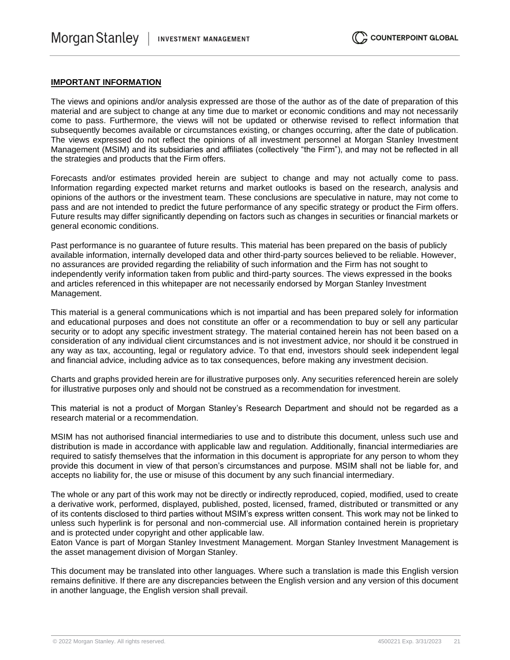#### **IMPORTANT INFORMATION**

The views and opinions and/or analysis expressed are those of the author as of the date of preparation of this material and are subject to change at any time due to market or economic conditions and may not necessarily come to pass. Furthermore, the views will not be updated or otherwise revised to reflect information that subsequently becomes available or circumstances existing, or changes occurring, after the date of publication. The views expressed do not reflect the opinions of all investment personnel at Morgan Stanley Investment Management (MSIM) and its subsidiaries and affiliates (collectively "the Firm"), and may not be reflected in all the strategies and products that the Firm offers.

Forecasts and/or estimates provided herein are subject to change and may not actually come to pass. Information regarding expected market returns and market outlooks is based on the research, analysis and opinions of the authors or the investment team. These conclusions are speculative in nature, may not come to pass and are not intended to predict the future performance of any specific strategy or product the Firm offers. Future results may differ significantly depending on factors such as changes in securities or financial markets or general economic conditions.

Past performance is no guarantee of future results. This material has been prepared on the basis of publicly available information, internally developed data and other third-party sources believed to be reliable. However, no assurances are provided regarding the reliability of such information and the Firm has not sought to independently verify information taken from public and third-party sources. The views expressed in the books and articles referenced in this whitepaper are not necessarily endorsed by Morgan Stanley Investment Management.

This material is a general communications which is not impartial and has been prepared solely for information and educational purposes and does not constitute an offer or a recommendation to buy or sell any particular security or to adopt any specific investment strategy. The material contained herein has not been based on a consideration of any individual client circumstances and is not investment advice, nor should it be construed in any way as tax, accounting, legal or regulatory advice. To that end, investors should seek independent legal and financial advice, including advice as to tax consequences, before making any investment decision.

Charts and graphs provided herein are for illustrative purposes only. Any securities referenced herein are solely for illustrative purposes only and should not be construed as a recommendation for investment.

This material is not a product of Morgan Stanley's Research Department and should not be regarded as a research material or a recommendation.

MSIM has not authorised financial intermediaries to use and to distribute this document, unless such use and distribution is made in accordance with applicable law and regulation. Additionally, financial intermediaries are required to satisfy themselves that the information in this document is appropriate for any person to whom they provide this document in view of that person's circumstances and purpose. MSIM shall not be liable for, and accepts no liability for, the use or misuse of this document by any such financial intermediary.

The whole or any part of this work may not be directly or indirectly reproduced, copied, modified, used to create a derivative work, performed, displayed, published, posted, licensed, framed, distributed or transmitted or any of its contents disclosed to third parties without MSIM's express written consent. This work may not be linked to unless such hyperlink is for personal and non-commercial use. All information contained herein is proprietary and is protected under copyright and other applicable law.

Eaton Vance is part of Morgan Stanley Investment Management. Morgan Stanley Investment Management is the asset management division of Morgan Stanley.

This document may be translated into other languages. Where such a translation is made this English version remains definitive. If there are any discrepancies between the English version and any version of this document in another language, the English version shall prevail.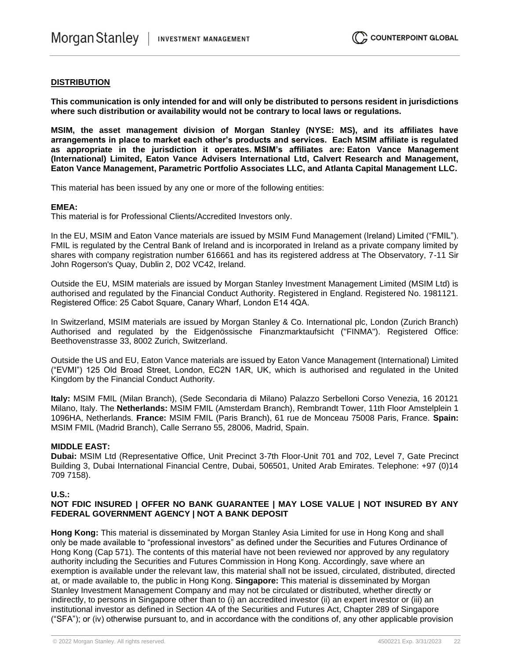#### **DISTRIBUTION**

**This communication is only intended for and will only be distributed to persons resident in jurisdictions where such distribution or availability would not be contrary to local laws or regulations.**

**MSIM, the asset management division of Morgan Stanley (NYSE: MS), and its affiliates have arrangements in place to market each other's products and services. Each MSIM affiliate is regulated as appropriate in the jurisdiction it operates. MSIM's affiliates are: Eaton Vance Management (International) Limited, Eaton Vance Advisers International Ltd, Calvert Research and Management, Eaton Vance Management, Parametric Portfolio Associates LLC, and Atlanta Capital Management LLC.**

This material has been issued by any one or more of the following entities:

#### **EMEA:**

This material is for Professional Clients/Accredited Investors only.

In the EU, MSIM and Eaton Vance materials are issued by MSIM Fund Management (Ireland) Limited ("FMIL"). FMIL is regulated by the Central Bank of Ireland and is incorporated in Ireland as a private company limited by shares with company registration number 616661 and has its registered address at The Observatory, 7-11 Sir John Rogerson's Quay, Dublin 2, D02 VC42, Ireland.

Outside the EU, MSIM materials are issued by Morgan Stanley Investment Management Limited (MSIM Ltd) is authorised and regulated by the Financial Conduct Authority. Registered in England. Registered No. 1981121. Registered Office: 25 Cabot Square, Canary Wharf, London E14 4QA.

In Switzerland, MSIM materials are issued by Morgan Stanley & Co. International plc, London (Zurich Branch) Authorised and regulated by the Eidgenössische Finanzmarktaufsicht ("FINMA"). Registered Office: Beethovenstrasse 33, 8002 Zurich, Switzerland.

Outside the US and EU, Eaton Vance materials are issued by Eaton Vance Management (International) Limited ("EVMI") 125 Old Broad Street, London, EC2N 1AR, UK, which is authorised and regulated in the United Kingdom by the Financial Conduct Authority.

**Italy:** MSIM FMIL (Milan Branch), (Sede Secondaria di Milano) Palazzo Serbelloni Corso Venezia, 16 20121 Milano, Italy. The **Netherlands:** MSIM FMIL (Amsterdam Branch), Rembrandt Tower, 11th Floor Amstelplein 1 1096HA, Netherlands. **France:** MSIM FMIL (Paris Branch), 61 rue de Monceau 75008 Paris, France. **Spain:**  MSIM FMIL (Madrid Branch), Calle Serrano 55, 28006, Madrid, Spain.

#### **MIDDLE EAST:**

**Dubai:** MSIM Ltd (Representative Office, Unit Precinct 3-7th Floor-Unit 701 and 702, Level 7, Gate Precinct Building 3, Dubai International Financial Centre, Dubai, 506501, United Arab Emirates. Telephone: +97 (0)14 709 7158).

#### **U.S.:**

#### **NOT FDIC INSURED | OFFER NO BANK GUARANTEE | MAY LOSE VALUE | NOT INSURED BY ANY FEDERAL GOVERNMENT AGENCY | NOT A BANK DEPOSIT**

**Hong Kong:** This material is disseminated by Morgan Stanley Asia Limited for use in Hong Kong and shall only be made available to "professional investors" as defined under the Securities and Futures Ordinance of Hong Kong (Cap 571). The contents of this material have not been reviewed nor approved by any regulatory authority including the Securities and Futures Commission in Hong Kong. Accordingly, save where an exemption is available under the relevant law, this material shall not be issued, circulated, distributed, directed at, or made available to, the public in Hong Kong. **Singapore:** This material is disseminated by Morgan Stanley Investment Management Company and may not be circulated or distributed, whether directly or indirectly, to persons in Singapore other than to (i) an accredited investor (ii) an expert investor or (iii) an institutional investor as defined in Section 4A of the Securities and Futures Act, Chapter 289 of Singapore ("SFA"); or (iv) otherwise pursuant to, and in accordance with the conditions of, any other applicable provision